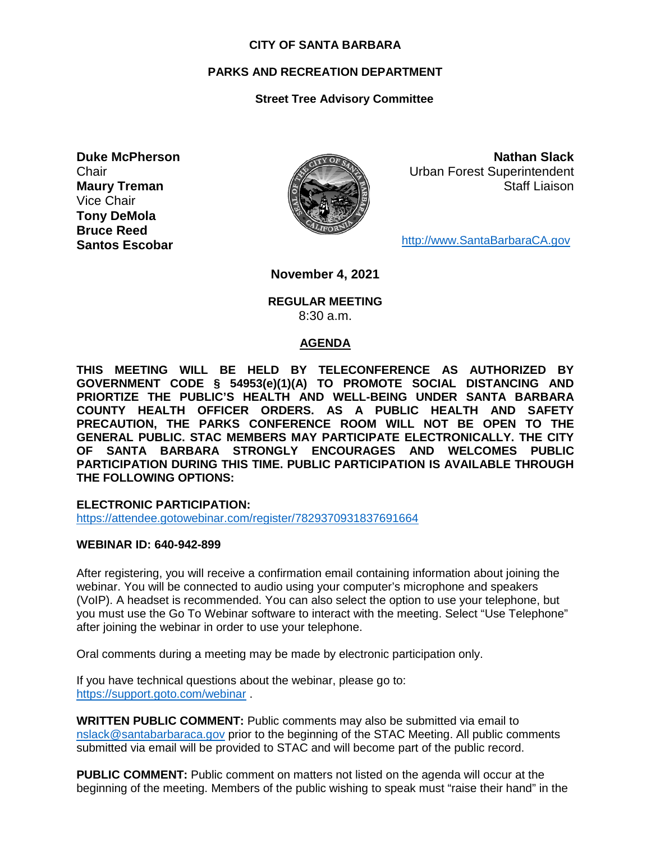#### **CITY OF SANTA BARBARA**

# **PARKS AND RECREATION DEPARTMENT**

# **Street Tree Advisory Committee**

**Duke McPherson Chair Maury Treman** Vice Chair **Tony DeMola Bruce Reed Santos Escobar**



**Nathan Slack** Urban Forest Superintendent Staff Liaison

[http://www.SantaBarbaraCA.gov](http://www.santabarbaraca.gov/)

**November 4, 2021**

**REGULAR MEETING** 8:30 a.m.

#### **AGENDA**

**THIS MEETING WILL BE HELD BY TELECONFERENCE AS AUTHORIZED BY GOVERNMENT CODE § 54953(e)(1)(A) TO PROMOTE SOCIAL DISTANCING AND PRIORTIZE THE PUBLIC'S HEALTH AND WELL-BEING UNDER SANTA BARBARA COUNTY HEALTH OFFICER ORDERS. AS A PUBLIC HEALTH AND SAFETY PRECAUTION, THE PARKS CONFERENCE ROOM WILL NOT BE OPEN TO THE GENERAL PUBLIC. STAC MEMBERS MAY PARTICIPATE ELECTRONICALLY. THE CITY OF SANTA BARBARA STRONGLY ENCOURAGES AND WELCOMES PUBLIC PARTICIPATION DURING THIS TIME. PUBLIC PARTICIPATION IS AVAILABLE THROUGH THE FOLLOWING OPTIONS:**

**ELECTRONIC PARTICIPATION:** 

<https://attendee.gotowebinar.com/register/7829370931837691664>

#### **WEBINAR ID: 640-942-899**

After registering, you will receive a confirmation email containing information about joining the webinar. You will be connected to audio using your computer's microphone and speakers (VoIP). A headset is recommended. You can also select the option to use your telephone, but you must use the Go To Webinar software to interact with the meeting. Select "Use Telephone" after joining the webinar in order to use your telephone.

Oral comments during a meeting may be made by electronic participation only.

If you have technical questions about the webinar, please go to: <https://support.goto.com/webinar> .

**WRITTEN PUBLIC COMMENT:** Public comments may also be submitted via email to [nslack@santabarbaraca.gov](mailto:nslack@santabarbaraca.gov) prior to the beginning of the STAC Meeting. All public comments submitted via email will be provided to STAC and will become part of the public record.

**PUBLIC COMMENT:** Public comment on matters not listed on the agenda will occur at the beginning of the meeting. Members of the public wishing to speak must "raise their hand" in the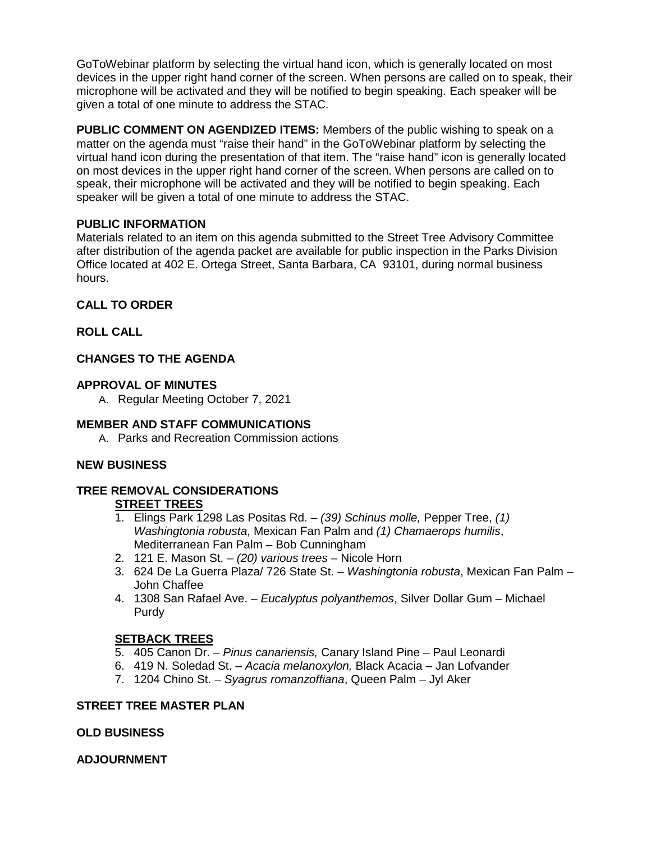GoToWebinar platform by selecting the virtual hand icon, which is generally located on most devices in the upper right hand corner of the screen. When persons are called on to speak, their microphone will be activated and they will be notified to begin speaking. Each speaker will be given a total of one minute to address the STAC.

**PUBLIC COMMENT ON AGENDIZED ITEMS:** Members of the public wishing to speak on a matter on the agenda must "raise their hand" in the GoToWebinar platform by selecting the virtual hand icon during the presentation of that item. The "raise hand" icon is generally located on most devices in the upper right hand corner of the screen. When persons are called on to speak, their microphone will be activated and they will be notified to begin speaking. Each speaker will be given a total of one minute to address the STAC.

#### **PUBLIC INFORMATION**

Materials related to an item on this agenda submitted to the Street Tree Advisory Committee after distribution of the agenda packet are available for public inspection in the Parks Division Office located at 402 E. Ortega Street, Santa Barbara, CA 93101, during normal business hours.

# **CALL TO ORDER**

# **ROLL CALL**

# **CHANGES TO THE AGENDA**

#### **APPROVAL OF MINUTES**

A. Regular Meeting October 7, 2021

#### **MEMBER AND STAFF COMMUNICATIONS**

A. Parks and Recreation Commission actions

#### **NEW BUSINESS**

# **TREE REMOVAL CONSIDERATIONS**

# **STREET TREES**

- 1. Elings Park 1298 Las Positas Rd. *(39) Schinus molle,* Pepper Tree, *(1) Washingtonia robusta*, Mexican Fan Palm and *(1) Chamaerops humilis*, Mediterranean Fan Palm – Bob Cunningham
- 2. 121 E. Mason St. *(20) various trees* Nicole Horn
- 3. 624 De La Guerra Plaza/ 726 State St. *Washingtonia robusta*, Mexican Fan Palm John Chaffee
- 4. 1308 San Rafael Ave. *Eucalyptus polyanthemos*, Silver Dollar Gum Michael Purdy

# **SETBACK TREES**

- 5. 405 Canon Dr. *Pinus canariensis,* Canary Island Pine Paul Leonardi
- 6. 419 N. Soledad St. *Acacia melanoxylon,* Black Acacia Jan Lofvander
- 7. 1204 Chino St. *Syagrus romanzoffiana*, Queen Palm Jyl Aker

#### **STREET TREE MASTER PLAN**

#### **OLD BUSINESS**

#### **ADJOURNMENT**